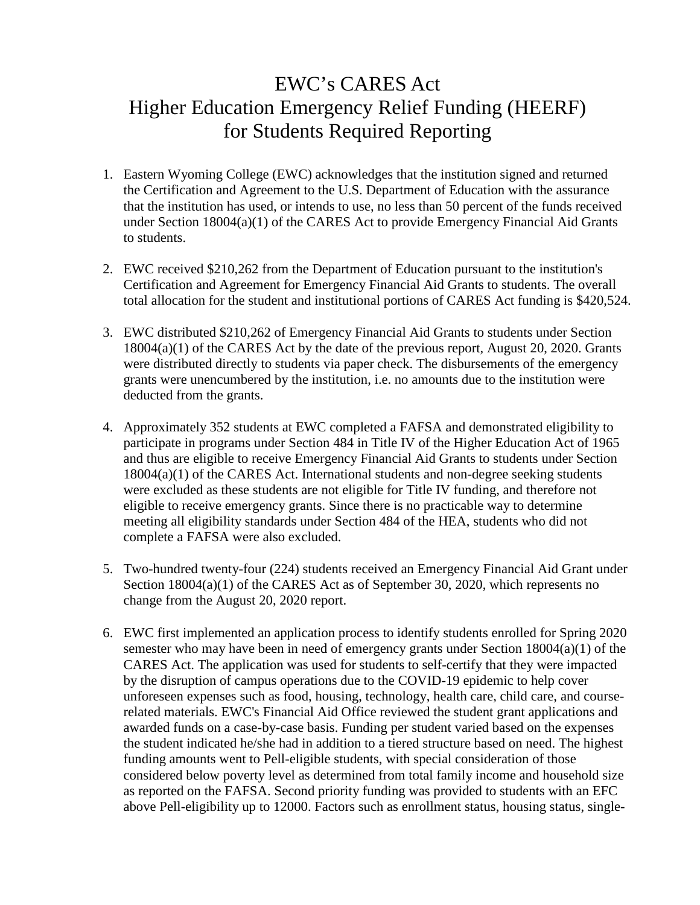## EWC's CARES Act Higher Education Emergency Relief Funding (HEERF) for Students Required Reporting

- 1. Eastern Wyoming College (EWC) acknowledges that the institution signed and returned the Certification and Agreement to the U.S. Department of Education with the assurance that the institution has used, or intends to use, no less than 50 percent of the funds received under Section 18004(a)(1) of the CARES Act to provide Emergency Financial Aid Grants to students.
- 2. EWC received \$210,262 from the Department of Education pursuant to the institution's Certification and Agreement for Emergency Financial Aid Grants to students. The overall total allocation for the student and institutional portions of CARES Act funding is \$420,524.
- 3. EWC distributed \$210,262 of Emergency Financial Aid Grants to students under Section 18004(a)(1) of the CARES Act by the date of the previous report, August 20, 2020. Grants were distributed directly to students via paper check. The disbursements of the emergency grants were unencumbered by the institution, i.e. no amounts due to the institution were deducted from the grants.
- 4. Approximately 352 students at EWC completed a FAFSA and demonstrated eligibility to participate in programs under Section 484 in Title IV of the Higher Education Act of 1965 and thus are eligible to receive Emergency Financial Aid Grants to students under Section 18004(a)(1) of the CARES Act. International students and non-degree seeking students were excluded as these students are not eligible for Title IV funding, and therefore not eligible to receive emergency grants. Since there is no practicable way to determine meeting all eligibility standards under Section 484 of the HEA, students who did not complete a FAFSA were also excluded.
- 5. Two-hundred twenty-four (224) students received an Emergency Financial Aid Grant under Section 18004(a)(1) of the CARES Act as of September 30, 2020, which represents no change from the August 20, 2020 report.
- 6. EWC first implemented an application process to identify students enrolled for Spring 2020 semester who may have been in need of emergency grants under Section 18004(a)(1) of the CARES Act. The application was used for students to self-certify that they were impacted by the disruption of campus operations due to the COVID-19 epidemic to help cover unforeseen expenses such as food, housing, technology, health care, child care, and courserelated materials. EWC's Financial Aid Office reviewed the student grant applications and awarded funds on a case-by-case basis. Funding per student varied based on the expenses the student indicated he/she had in addition to a tiered structure based on need. The highest funding amounts went to Pell-eligible students, with special consideration of those considered below poverty level as determined from total family income and household size as reported on the FAFSA. Second priority funding was provided to students with an EFC above Pell-eligibility up to 12000. Factors such as enrollment status, housing status, single-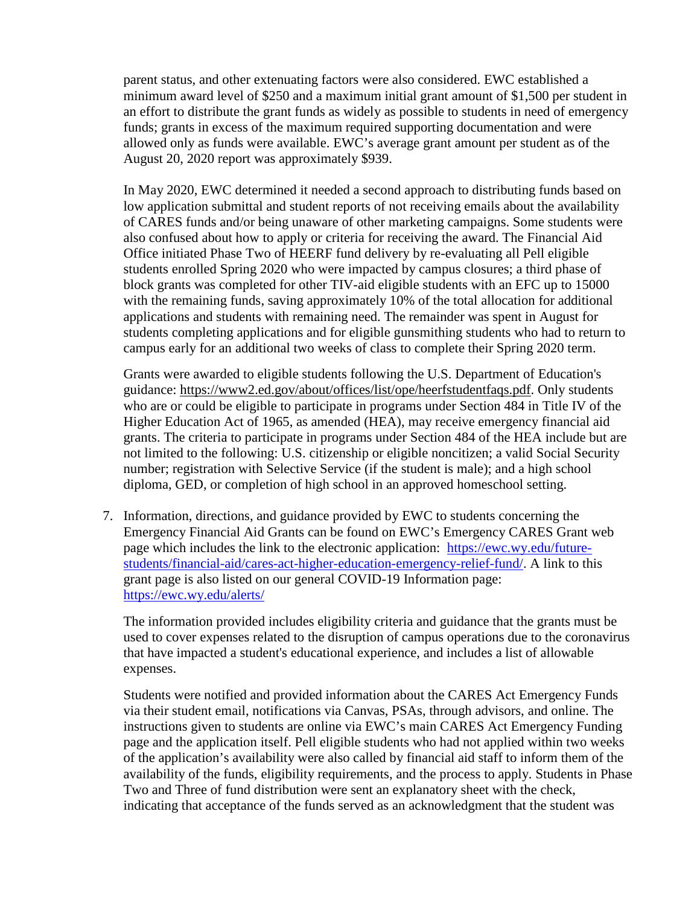parent status, and other extenuating factors were also considered. EWC established a minimum award level of \$250 and a maximum initial grant amount of \$1,500 per student in an effort to distribute the grant funds as widely as possible to students in need of emergency funds; grants in excess of the maximum required supporting documentation and were allowed only as funds were available. EWC's average grant amount per student as of the August 20, 2020 report was approximately \$939.

In May 2020, EWC determined it needed a second approach to distributing funds based on low application submittal and student reports of not receiving emails about the availability of CARES funds and/or being unaware of other marketing campaigns. Some students were also confused about how to apply or criteria for receiving the award. The Financial Aid Office initiated Phase Two of HEERF fund delivery by re-evaluating all Pell eligible students enrolled Spring 2020 who were impacted by campus closures; a third phase of block grants was completed for other TIV-aid eligible students with an EFC up to 15000 with the remaining funds, saving approximately 10% of the total allocation for additional applications and students with remaining need. The remainder was spent in August for students completing applications and for eligible gunsmithing students who had to return to campus early for an additional two weeks of class to complete their Spring 2020 term.

Grants were awarded to eligible students following the U.S. Department of Education's guidance: [https://www2.ed.gov/about/offices/list/ope/heerfstudentfaqs.pdf.](https://www2.ed.gov/about/offices/list/ope/heerfstudentfaqs.pdf) Only students who are or could be eligible to participate in programs under Section 484 in Title IV of the Higher Education Act of 1965, as amended (HEA), may receive emergency financial aid grants. The criteria to participate in programs under Section 484 of the HEA include but are not limited to the following: U.S. citizenship or eligible noncitizen; a valid Social Security number; registration with Selective Service (if the student is male); and a high school diploma, GED, or completion of high school in an approved homeschool setting.

7. Information, directions, and guidance provided by EWC to students concerning the Emergency Financial Aid Grants can be found on EWC's Emergency CARES Grant web page which includes the link to the electronic application: [https://ewc.wy.edu/future](https://ewc.wy.edu/future-students/financial-aid/cares-act-higher-education-emergency-relief-fund/)[students/financial-aid/cares-act-higher-education-emergency-relief-fund/.](https://ewc.wy.edu/future-students/financial-aid/cares-act-higher-education-emergency-relief-fund/) A link to this grant page is also listed on our general COVID-19 Information page: <https://ewc.wy.edu/alerts/>

The information provided includes eligibility criteria and guidance that the grants must be used to cover expenses related to the disruption of campus operations due to the coronavirus that have impacted a student's educational experience, and includes a list of allowable expenses.

Students were notified and provided information about the CARES Act Emergency Funds via their student email, notifications via Canvas, PSAs, through advisors, and online. The instructions given to students are online via EWC's main CARES Act Emergency Funding page and the application itself. Pell eligible students who had not applied within two weeks of the application's availability were also called by financial aid staff to inform them of the availability of the funds, eligibility requirements, and the process to apply. Students in Phase Two and Three of fund distribution were sent an explanatory sheet with the check, indicating that acceptance of the funds served as an acknowledgment that the student was